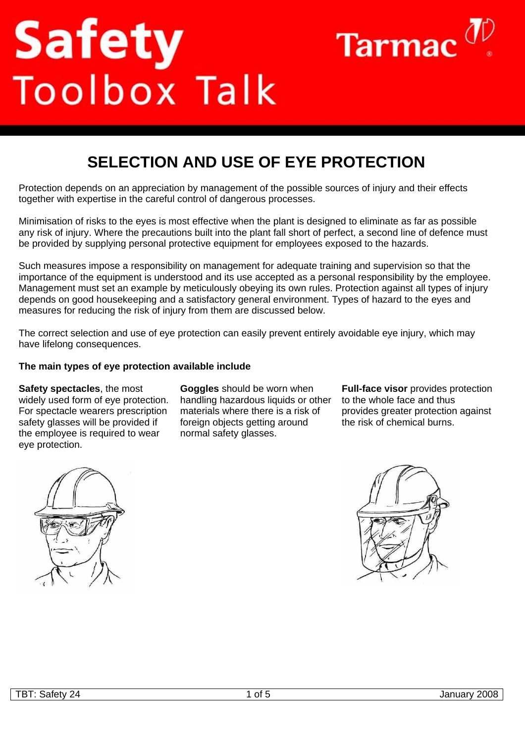# **Safety**<br>Toolbox Talk



# **SELECTION AND USE OF EYE PROTECTION**

Protection depends on an appreciation by management of the possible sources of injury and their effects together with expertise in the careful control of dangerous processes.

Minimisation of risks to the eyes is most effective when the plant is designed to eliminate as far as possible any risk of injury. Where the precautions built into the plant fall short of perfect, a second line of defence must be provided by supplying personal protective equipment for employees exposed to the hazards.

Such measures impose a responsibility on management for adequate training and supervision so that the importance of the equipment is understood and its use accepted as a personal responsibility by the employee. Management must set an example by meticulously obeying its own rules. Protection against all types of injury depends on good housekeeping and a satisfactory general environment. Types of hazard to the eyes and measures for reducing the risk of injury from them are discussed below.

The correct selection and use of eye protection can easily prevent entirely avoidable eye injury, which may have lifelong consequences.

#### **The main types of eye protection available include**

**Safety spectacles**, the most widely used form of eye protection. For spectacle wearers prescription safety glasses will be provided if the employee is required to wear eye protection.

**Goggles** should be worn when handling hazardous liquids or other materials where there is a risk of foreign objects getting around normal safety glasses.

**Full-face visor** provides protection to the whole face and thus provides greater protection against the risk of chemical burns.



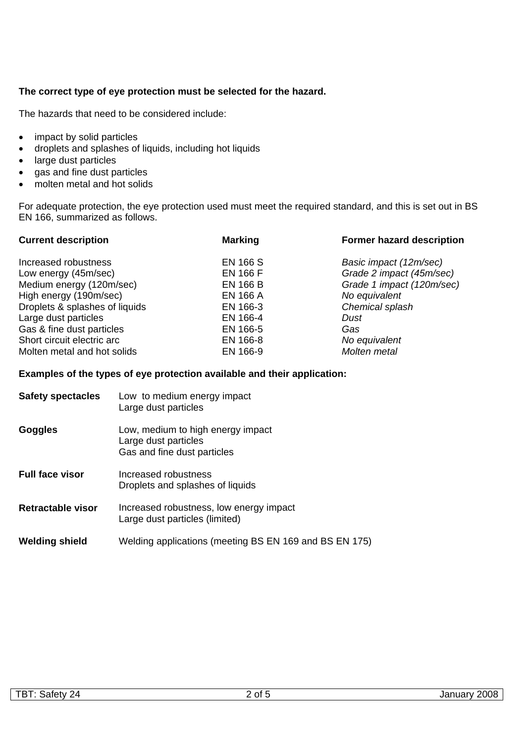## **The correct type of eye protection must be selected for the hazard.**

The hazards that need to be considered include:

- impact by solid particles
- droplets and splashes of liquids, including hot liquids
- large dust particles
- gas and fine dust particles
- molten metal and hot solids

For adequate protection, the eye protection used must meet the required standard, and this is set out in BS EN 166, summarized as follows.

| <b>Current description</b>     | <b>Former hazard description</b><br><b>Marking</b> |                           |
|--------------------------------|----------------------------------------------------|---------------------------|
| Increased robustness           | <b>EN 166 S</b>                                    | Basic impact (12m/sec)    |
| Low energy (45m/sec)           | <b>EN 166 F</b>                                    | Grade 2 impact (45m/sec)  |
| Medium energy (120m/sec)       | <b>EN 166 B</b>                                    | Grade 1 impact (120m/sec) |
| High energy (190m/sec)         | <b>EN 166 A</b>                                    | No equivalent             |
| Droplets & splashes of liquids | EN 166-3                                           | Chemical splash           |
| Large dust particles           | EN 166-4                                           | Dust                      |
| Gas & fine dust particles      | EN 166-5                                           | Gas                       |
| Short circuit electric arc     | EN 166-8                                           | No equivalent             |
| Molten metal and hot solids    | EN 166-9                                           | Molten metal              |

#### **Examples of the types of eye protection available and their application:**

| <b>Safety spectacles</b> | Low to medium energy impact<br>Large dust particles                                      |
|--------------------------|------------------------------------------------------------------------------------------|
| <b>Goggles</b>           | Low, medium to high energy impact<br>Large dust particles<br>Gas and fine dust particles |
| <b>Full face visor</b>   | Increased robustness<br>Droplets and splashes of liquids                                 |
| Retractable visor        | Increased robustness, low energy impact<br>Large dust particles (limited)                |
| <b>Welding shield</b>    | Welding applications (meeting BS EN 169 and BS EN 175)                                   |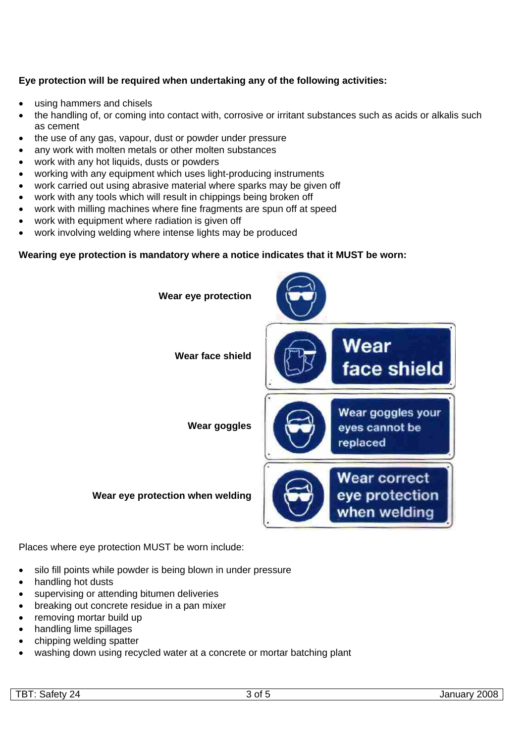# **Eye protection will be required when undertaking any of the following activities:**

- using hammers and chisels
- the handling of, or coming into contact with, corrosive or irritant substances such as acids or alkalis such as cement
- the use of any gas, vapour, dust or powder under pressure
- any work with molten metals or other molten substances
- work with any hot liquids, dusts or powders
- working with any equipment which uses light-producing instruments
- work carried out using abrasive material where sparks may be given off
- work with any tools which will result in chippings being broken off
- work with milling machines where fine fragments are spun off at speed
- work with equipment where radiation is given off
- work involving welding where intense lights may be produced

#### **Wearing eye protection is mandatory where a notice indicates that it MUST be worn:**



Places where eye protection MUST be worn include:

- silo fill points while powder is being blown in under pressure
- handling hot dusts
- supervising or attending bitumen deliveries
- breaking out concrete residue in a pan mixer
- removing mortar build up
- handling lime spillages
- chipping welding spatter
- washing down using recycled water at a concrete or mortar batching plant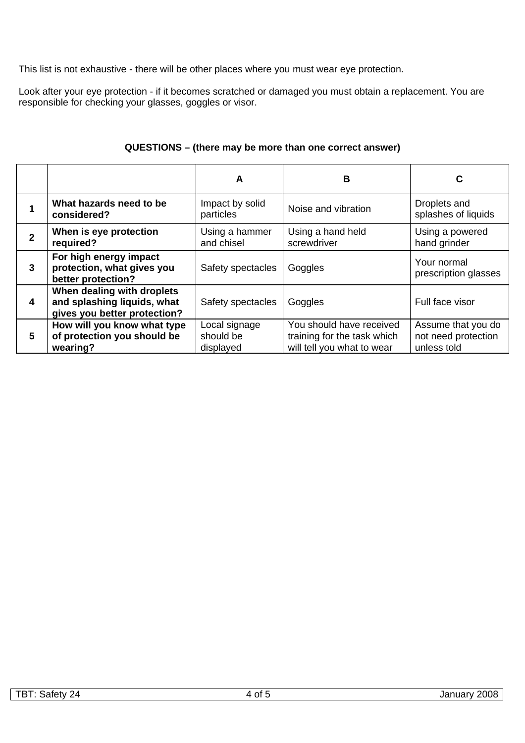This list is not exhaustive - there will be other places where you must wear eye protection.

Look after your eye protection - if it becomes scratched or damaged you must obtain a replacement. You are responsible for checking your glasses, goggles or visor.

|              |                                                                                           | A                                       | В                                                                                     | С                                                        |
|--------------|-------------------------------------------------------------------------------------------|-----------------------------------------|---------------------------------------------------------------------------------------|----------------------------------------------------------|
|              | What hazards need to be<br>considered?                                                    | Impact by solid<br>particles            | Noise and vibration                                                                   | Droplets and<br>splashes of liquids                      |
| $\mathbf{2}$ | When is eye protection<br>required?                                                       | Using a hammer<br>and chisel            | Using a hand held<br>screwdriver                                                      | Using a powered<br>hand grinder                          |
| 3            | For high energy impact<br>protection, what gives you<br>better protection?                | Safety spectacles                       | Goggles                                                                               | Your normal<br>prescription glasses                      |
| 4            | When dealing with droplets<br>and splashing liquids, what<br>gives you better protection? | Safety spectacles                       | Goggles                                                                               | Full face visor                                          |
| 5            | How will you know what type<br>of protection you should be<br>wearing?                    | Local signage<br>should be<br>displayed | You should have received<br>training for the task which<br>will tell you what to wear | Assume that you do<br>not need protection<br>unless told |

## **QUESTIONS – (there may be more than one correct answer)**